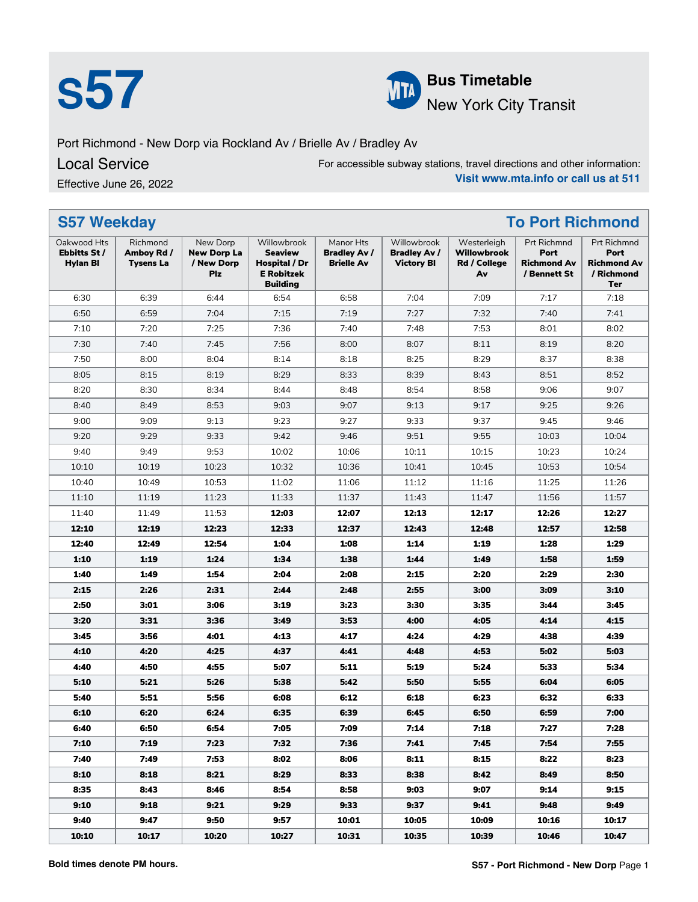



**S57 Bus Timetable**<br>New York City 1 New York City Transit

Port Richmond - New Dorp via Rockland Av / Brielle Av / Bradley Av

### Local Service

Effective June 26, 2022

For accessible subway stations, travel directions and other information: **Visit www.mta.info or call us at 511**

| <b>S57 Weekday</b><br><b>To Port Richmond</b>  |                                            |                                                     |                                                                                        |                                                       |                                                         |                                                         |                                                           |                                                                       |
|------------------------------------------------|--------------------------------------------|-----------------------------------------------------|----------------------------------------------------------------------------------------|-------------------------------------------------------|---------------------------------------------------------|---------------------------------------------------------|-----------------------------------------------------------|-----------------------------------------------------------------------|
| Oakwood Hts<br>Ebbitts St /<br><b>Hylan BI</b> | Richmond<br>Amboy Rd /<br><b>Tysens La</b> | New Dorp<br><b>New Dorp La</b><br>/ New Dorp<br>Plz | Willowbrook<br><b>Seaview</b><br>Hospital / Dr<br><b>E</b> Robitzek<br><b>Building</b> | Manor Hts<br><b>Bradley Av /</b><br><b>Brielle Av</b> | Willowbrook<br><b>Bradley Av /</b><br><b>Victory BI</b> | Westerleigh<br><b>Willowbrook</b><br>Rd / College<br>Av | Prt Richmnd<br>Port<br><b>Richmond Av</b><br>/ Bennett St | Prt Richmnd<br>Port<br><b>Richmond Av</b><br>/ Richmond<br><b>Ter</b> |
| 6:30                                           | 6:39                                       | 6:44                                                | 6:54                                                                                   | 6:58                                                  | 7:04                                                    | 7:09                                                    | 7:17                                                      | 7:18                                                                  |
| 6:50                                           | 6:59                                       | 7:04                                                | 7:15                                                                                   | 7:19                                                  | 7:27                                                    | 7:32                                                    | 7:40                                                      | 7:41                                                                  |
| 7:10                                           | 7:20                                       | 7:25                                                | 7:36                                                                                   | 7:40                                                  | 7:48                                                    | 7:53                                                    | 8:01                                                      | 8:02                                                                  |
| 7:30                                           | 7:40                                       | 7:45                                                | 7:56                                                                                   | 8:00                                                  | 8:07                                                    | 8:11                                                    | 8:19                                                      | 8:20                                                                  |
| 7:50                                           | 8:00                                       | 8:04                                                | 8:14                                                                                   | 8:18                                                  | 8:25                                                    | 8:29                                                    | 8:37                                                      | 8:38                                                                  |
| 8:05                                           | 8:15                                       | 8:19                                                | 8:29                                                                                   | 8:33                                                  | 8:39                                                    | 8:43                                                    | 8:51                                                      | 8:52                                                                  |
| 8:20                                           | 8:30                                       | 8:34                                                | 8:44                                                                                   | 8:48                                                  | 8:54                                                    | 8:58                                                    | 9:06                                                      | 9:07                                                                  |
| 8:40                                           | 8:49                                       | 8:53                                                | 9:03                                                                                   | 9:07                                                  | 9:13                                                    | 9:17                                                    | 9:25                                                      | 9:26                                                                  |
| 9:00                                           | 9:09                                       | 9:13                                                | 9:23                                                                                   | 9:27                                                  | 9:33                                                    | 9:37                                                    | 9:45                                                      | 9:46                                                                  |
| 9:20                                           | 9:29                                       | 9:33                                                | 9:42                                                                                   | 9:46                                                  | 9:51                                                    | 9:55                                                    | 10:03                                                     | 10:04                                                                 |
| 9:40                                           | 9:49                                       | 9:53                                                | 10:02                                                                                  | 10:06                                                 | 10:11                                                   | 10:15                                                   | 10:23                                                     | 10:24                                                                 |
| 10:10                                          | 10:19                                      | 10:23                                               | 10:32                                                                                  | 10:36                                                 | 10:41                                                   | 10:45                                                   | 10:53                                                     | 10:54                                                                 |
| 10:40                                          | 10:49                                      | 10:53                                               | 11:02                                                                                  | 11:06                                                 | 11:12                                                   | 11:16                                                   | 11:25                                                     | 11:26                                                                 |
| 11:10                                          | 11:19                                      | 11:23                                               | 11:33                                                                                  | 11:37                                                 | 11:43                                                   | 11:47                                                   | 11:56                                                     | 11:57                                                                 |
| 11:40                                          | 11:49                                      | 11:53                                               | 12:03                                                                                  | 12:07                                                 | 12:13                                                   | 12:17                                                   | 12:26                                                     | 12:27                                                                 |
| 12:10                                          | 12:19                                      | 12:23                                               | 12:33                                                                                  | 12:37                                                 | 12:43                                                   | 12:48                                                   | 12:57                                                     | 12:58                                                                 |
| 12:40                                          | 12:49                                      | 12:54                                               | 1:04                                                                                   | 1:08                                                  | 1:14                                                    | 1:19                                                    | 1:28                                                      | 1:29                                                                  |
| 1:10                                           | 1:19                                       | 1:24                                                | 1:34                                                                                   | 1:38                                                  | 1:44                                                    | 1:49                                                    | 1:58                                                      | 1:59                                                                  |
| 1:40                                           | 1:49                                       | 1:54                                                | 2:04                                                                                   | 2:08                                                  | 2:15                                                    | 2:20                                                    | 2:29                                                      | 2:30                                                                  |
| 2:15                                           | 2:26                                       | 2:31                                                | 2:44                                                                                   | 2:48                                                  | 2:55                                                    | 3:00                                                    | 3:09                                                      | 3:10                                                                  |
| 2:50                                           | 3:01                                       | 3:06                                                | 3:19                                                                                   | 3:23                                                  | 3:30                                                    | 3:35                                                    | 3:44                                                      | 3:45                                                                  |
| 3:20                                           | 3:31                                       | 3:36                                                | 3:49                                                                                   | 3:53                                                  | 4:00                                                    | 4:05                                                    | 4:14                                                      | 4:15                                                                  |
| 3:45                                           | 3:56                                       | 4:01                                                | 4:13                                                                                   | 4:17                                                  | 4:24                                                    | 4:29                                                    | 4:38                                                      | 4:39                                                                  |
| 4:10                                           | 4:20                                       | 4:25                                                | 4:37                                                                                   | 4:41                                                  | 4:48                                                    | 4:53                                                    | 5:02                                                      | 5:03                                                                  |
| 4:40                                           | 4:50                                       | 4:55                                                | 5:07                                                                                   | 5:11                                                  | 5:19                                                    | 5:24                                                    | 5:33                                                      | 5:34                                                                  |
| 5:10                                           | 5:21                                       | 5:26                                                | 5:38                                                                                   | 5:42                                                  | 5:50                                                    | 5:55                                                    | 6:04                                                      | 6:05                                                                  |
| 5:40                                           | 5:51                                       | 5:56                                                | 6:08                                                                                   | 6:12                                                  | 6:18                                                    | 6:23                                                    | 6:32                                                      | 6:33                                                                  |
| 6:10                                           | 6:20                                       | 6:24                                                | 6:35                                                                                   | 6:39                                                  | 6:45                                                    | 6:50                                                    | 6:59                                                      | 7:00                                                                  |
| 6:40                                           | 6:50                                       | 6:54                                                | 7:05                                                                                   | 7:09                                                  | 7:14                                                    | 7:18                                                    | 7:27                                                      | 7:28                                                                  |
| 7:10                                           | 7:19                                       | 7:23                                                | 7:32                                                                                   | 7:36                                                  | 7:41                                                    | 7:45                                                    | 7:54                                                      | 7:55                                                                  |
| 7:40                                           | 7:49                                       | 7:53                                                | 8:02                                                                                   | 8:06                                                  | 8:11                                                    | 8:15                                                    | 8:22                                                      | 8:23                                                                  |
| 8:10                                           | 8:18                                       | 8:21                                                | 8:29                                                                                   | 8:33                                                  | 8:38                                                    | 8:42                                                    | 8:49                                                      | 8:50                                                                  |
| 8:35                                           | 8:43                                       | 8:46                                                | 8:54                                                                                   | 8:58                                                  | 9:03                                                    | 9:07                                                    | 9:14                                                      | 9:15                                                                  |
| 9:10                                           | 9:18                                       | 9:21                                                | 9:29                                                                                   | 9:33                                                  | 9:37                                                    | 9:41                                                    | 9:48                                                      | 9:49                                                                  |
| 9:40                                           | 9:47                                       | 9:50                                                | 9:57                                                                                   | 10:01                                                 | 10:05                                                   | 10:09                                                   | 10:16                                                     | 10:17                                                                 |
| 10:10                                          | 10:17                                      | 10:20                                               | 10:27                                                                                  | 10:31                                                 | 10:35                                                   | 10:39                                                   | 10:46                                                     | 10:47                                                                 |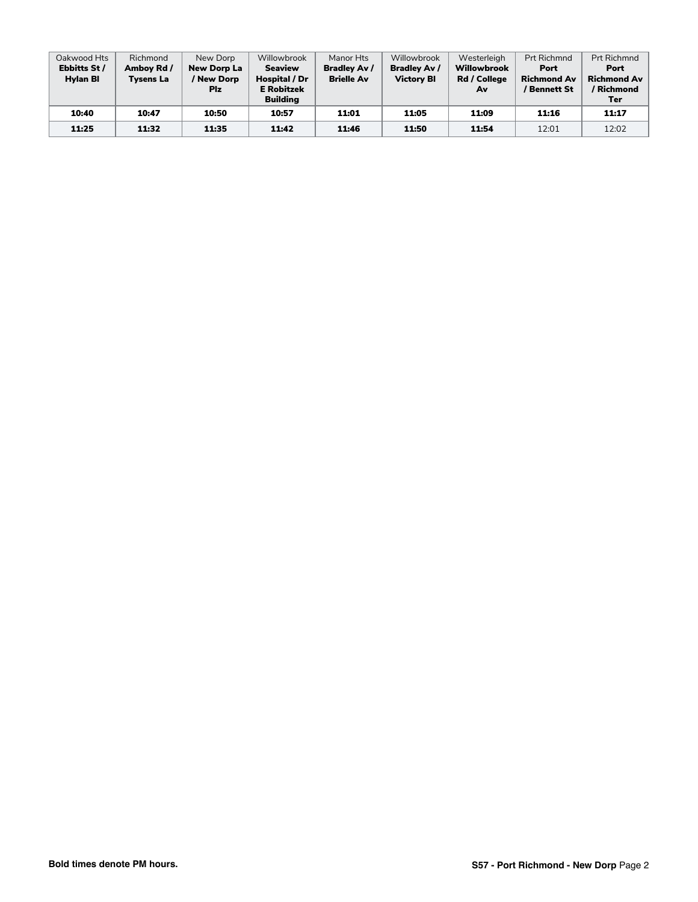| Oakwood Hts<br>Ebbitts St /<br><b>Hylan BI</b> | Richmond<br>Amboy Rd /<br><b>Tysens La</b> | New Dorp<br><b>New Dorp La</b><br>/ New Dorp<br><b>Plz</b> | Willowbrook<br><b>Seaview</b><br>Hospital / Dr<br><b>E</b> Robitzek<br>Building | Manor Hts<br><b>Bradley Av /</b><br><b>Brielle Av</b> | Willowbrook<br><b>Bradley Av /</b><br><b>Victory BI</b> | Westerleigh<br><b>Willowbrook</b><br>Rd / College<br>Av | <b>Prt Richmnd</b><br>Port<br><b>Richmond Av</b><br>/ Bennett St | <b>Prt Richmnd</b><br>Port<br><b>Richmond Av</b><br>/ Richmond<br>Ter |
|------------------------------------------------|--------------------------------------------|------------------------------------------------------------|---------------------------------------------------------------------------------|-------------------------------------------------------|---------------------------------------------------------|---------------------------------------------------------|------------------------------------------------------------------|-----------------------------------------------------------------------|
| 10:40                                          | 10:47                                      | 10:50                                                      | 10:57                                                                           | 11:01                                                 | 11:05                                                   | 11:09                                                   | 11:16                                                            | 11:17                                                                 |
| 11:25                                          | 11:32                                      | 11:35                                                      | 11:42                                                                           | 11:46                                                 | 11:50                                                   | 11:54                                                   | 12:01                                                            | 12:02                                                                 |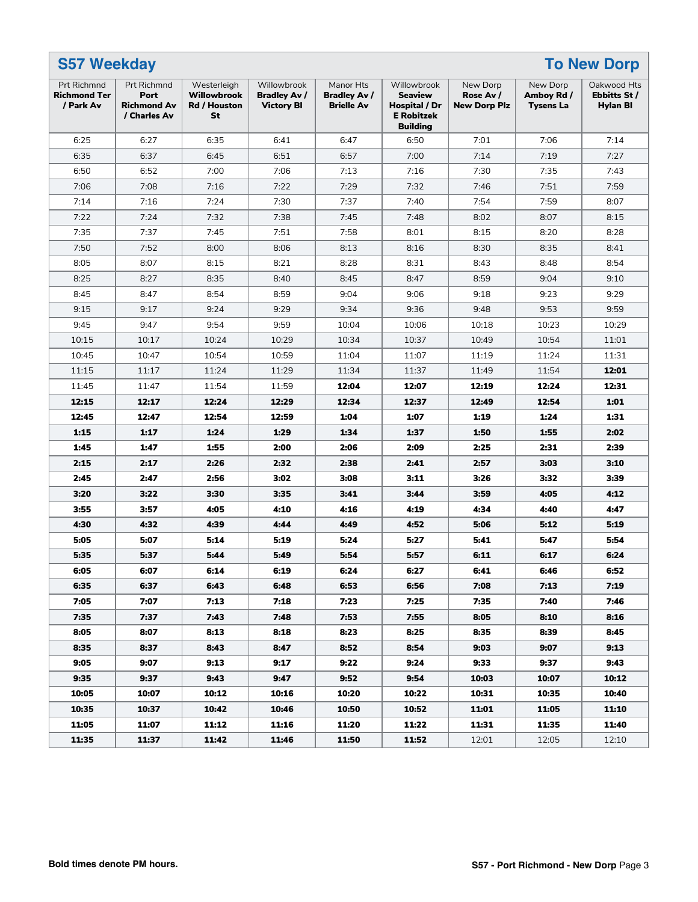| <b>S57 Weekday</b><br><b>To New Dorp</b>        |                                                           |                                                         |                                                         |                                                       |                                                                                        |                                              |                                            |                                         |
|-------------------------------------------------|-----------------------------------------------------------|---------------------------------------------------------|---------------------------------------------------------|-------------------------------------------------------|----------------------------------------------------------------------------------------|----------------------------------------------|--------------------------------------------|-----------------------------------------|
| Prt Richmnd<br><b>Richmond Ter</b><br>/ Park Av | Prt Richmnd<br>Port<br><b>Richmond Av</b><br>/ Charles Av | Westerleigh<br><b>Willowbrook</b><br>Rd / Houston<br>St | Willowbrook<br><b>Bradley Av /</b><br><b>Victory BI</b> | Manor Hts<br><b>Bradley Av /</b><br><b>Brielle Av</b> | Willowbrook<br><b>Seaview</b><br>Hospital / Dr<br><b>E</b> Robitzek<br><b>Building</b> | New Dorp<br>Rose Av /<br><b>New Dorp Plz</b> | New Dorp<br>Amboy Rd /<br><b>Tysens La</b> | Oakwood Hts<br>Ebbitts St /<br>Hylan Bl |
| 6:25                                            | 6:27                                                      | 6:35                                                    | 6:41                                                    | 6:47                                                  | 6:50                                                                                   | 7:01                                         | 7:06                                       | 7:14                                    |
| 6:35                                            | 6:37                                                      | 6:45                                                    | 6:51                                                    | 6:57                                                  | 7:00                                                                                   | 7:14                                         | 7:19                                       | 7:27                                    |
| 6:50                                            | 6:52                                                      | 7:00                                                    | 7:06                                                    | 7:13                                                  | 7:16                                                                                   | 7:30                                         | 7:35                                       | 7:43                                    |
| 7:06                                            | 7:08                                                      | 7:16                                                    | 7:22                                                    | 7:29                                                  | 7:32                                                                                   | 7:46                                         | 7:51                                       | 7:59                                    |
| 7:14                                            | 7:16                                                      | 7:24                                                    | 7:30                                                    | 7:37                                                  | 7:40                                                                                   | 7:54                                         | 7:59                                       | 8:07                                    |
| 7:22                                            | 7:24                                                      | 7:32                                                    | 7:38                                                    | 7:45                                                  | 7:48                                                                                   | 8:02                                         | 8:07                                       | 8:15                                    |
| 7:35                                            | 7:37                                                      | 7:45                                                    | 7:51                                                    | 7:58                                                  | 8:01                                                                                   | 8:15                                         | 8:20                                       | 8:28                                    |
| 7:50                                            | 7:52                                                      | 8:00                                                    | 8:06                                                    | 8:13                                                  | 8:16                                                                                   | 8:30                                         | 8:35                                       | 8:41                                    |
| 8:05                                            | 8:07                                                      | 8:15                                                    | 8:21                                                    | 8:28                                                  | 8:31                                                                                   | 8:43                                         | 8:48                                       | 8:54                                    |
| 8:25                                            | 8:27                                                      | 8:35                                                    | 8:40                                                    | 8:45                                                  | 8:47                                                                                   | 8:59                                         | 9:04                                       | 9:10                                    |
| 8:45                                            | 8:47                                                      | 8:54                                                    | 8:59                                                    | 9:04                                                  | 9:06                                                                                   | 9:18                                         | 9:23                                       | 9:29                                    |
| 9:15                                            | 9:17                                                      | 9:24                                                    | 9:29                                                    | 9:34                                                  | 9:36                                                                                   | 9:48                                         | 9:53                                       | 9:59                                    |
| 9:45                                            | 9:47                                                      | 9:54                                                    | 9:59                                                    | 10:04                                                 | 10:06                                                                                  | 10:18                                        | 10:23                                      | 10:29                                   |
| 10:15                                           | 10:17                                                     | 10:24                                                   | 10:29                                                   | 10:34                                                 | 10:37                                                                                  | 10:49                                        | 10:54                                      | 11:01                                   |
| 10:45                                           | 10:47                                                     | 10:54                                                   | 10:59                                                   | 11:04                                                 | 11:07                                                                                  | 11:19                                        | 11:24                                      | 11:31                                   |
| 11:15                                           | 11:17                                                     | 11:24                                                   | 11:29                                                   | 11:34                                                 | 11:37                                                                                  | 11:49                                        | 11:54                                      | 12:01                                   |
| 11:45                                           | 11:47                                                     | 11:54                                                   | 11:59                                                   | 12:04                                                 | 12:07                                                                                  | 12:19                                        | 12:24                                      | 12:31                                   |
| 12:15                                           | 12:17                                                     | 12:24                                                   | 12:29                                                   | 12:34                                                 | 12:37                                                                                  | 12:49                                        | 12:54                                      | 1:01                                    |
| 12:45                                           | 12:47                                                     | 12:54                                                   | 12:59                                                   | 1:04                                                  | 1:07                                                                                   | 1:19                                         | 1:24                                       | 1:31                                    |
| 1:15                                            | 1:17                                                      | 1:24                                                    | 1:29                                                    | 1:34                                                  | 1:37                                                                                   | 1:50                                         | 1:55                                       | 2:02                                    |
| 1:45                                            | 1:47                                                      | 1:55                                                    | 2:00                                                    | 2:06                                                  | 2:09                                                                                   | 2:25                                         | 2:31                                       | 2:39                                    |
| 2:15                                            | 2:17                                                      | 2:26                                                    | 2:32                                                    | 2:38                                                  | 2:41                                                                                   | 2:57                                         | 3:03                                       | 3:10                                    |
| 2:45                                            | 2:47                                                      | 2:56                                                    | 3:02                                                    | 3:08                                                  | 3:11                                                                                   | 3:26                                         | 3:32                                       | 3:39                                    |
| 3:20                                            | 3:22                                                      | 3:30                                                    | 3:35                                                    | 3:41                                                  | 3:44                                                                                   | 3:59                                         | 4:05                                       | 4:12                                    |
| 3:55                                            | 3:57                                                      | 4:05                                                    | 4:10                                                    | 4:16                                                  | 4:19                                                                                   | 4:34                                         | 4:40                                       | 4:47                                    |
| 4:30                                            | 4:32                                                      | 4:39                                                    | 4:44                                                    | 4:49                                                  | 4:52                                                                                   | 5:06                                         | 5:12                                       | 5:19                                    |
| 5:05                                            | 5:07                                                      | 5:14                                                    | 5:19                                                    | 5:24                                                  | 5:27                                                                                   | 5:41                                         | 5:47                                       | 5:54                                    |
| 5:35                                            | 5:37                                                      | 5:44                                                    | 5:49                                                    | 5:54                                                  | 5:57                                                                                   | 6:11                                         | 6:17                                       | 6:24                                    |
| 6:05                                            | 6:07                                                      | 6:14                                                    | 6:19                                                    | 6:24                                                  | 6:27                                                                                   | 6:41                                         | 6:46                                       | 6:52                                    |
| 6:35                                            | 6:37                                                      | 6:43                                                    | 6:48                                                    | 6:53                                                  | 6:56                                                                                   | 7:08                                         | 7:13                                       | 7:19                                    |
| 7:05                                            | 7:07                                                      | 7:13                                                    | 7:18                                                    | 7:23                                                  | 7:25                                                                                   | 7:35                                         | 7:40                                       | 7:46                                    |
| 7:35                                            | 7:37                                                      | 7:43                                                    | 7:48                                                    | 7:53                                                  | 7:55                                                                                   | 8:05                                         | 8:10                                       | 8:16                                    |
| 8:05                                            | 8:07                                                      | 8:13                                                    | 8:18                                                    | 8:23                                                  | 8:25                                                                                   | 8:35                                         | 8:39                                       | 8:45                                    |
| 8:35                                            | 8:37                                                      | 8:43                                                    | 8:47                                                    | 8:52                                                  | 8:54                                                                                   | 9:03                                         | 9:07                                       | 9:13                                    |
| 9:05                                            | 9:07                                                      | 9:13                                                    | 9:17                                                    | 9:22                                                  | 9:24                                                                                   | 9:33                                         | 9:37                                       | 9:43                                    |
| 9:35                                            | 9:37                                                      | 9:43                                                    | 9:47                                                    | 9:52                                                  | 9:54                                                                                   | 10:03                                        | 10:07                                      | 10:12                                   |
| 10:05                                           | 10:07                                                     | 10:12                                                   | 10:16                                                   | 10:20                                                 | 10:22                                                                                  | 10:31                                        | 10:35                                      | 10:40                                   |
| 10:35                                           | 10:37                                                     | 10:42                                                   | 10:46                                                   | 10:50                                                 | 10:52                                                                                  | 11:01                                        | 11:05                                      | 11:10                                   |
| 11:05                                           | 11:07                                                     | 11:12                                                   | 11:16                                                   | 11:20                                                 | 11:22                                                                                  | 11:31                                        | 11:35                                      | 11:40                                   |
| 11:35                                           | 11:37                                                     | 11:42                                                   | 11:46                                                   | 11:50                                                 | 11:52                                                                                  | 12:01                                        | 12:05                                      | 12:10                                   |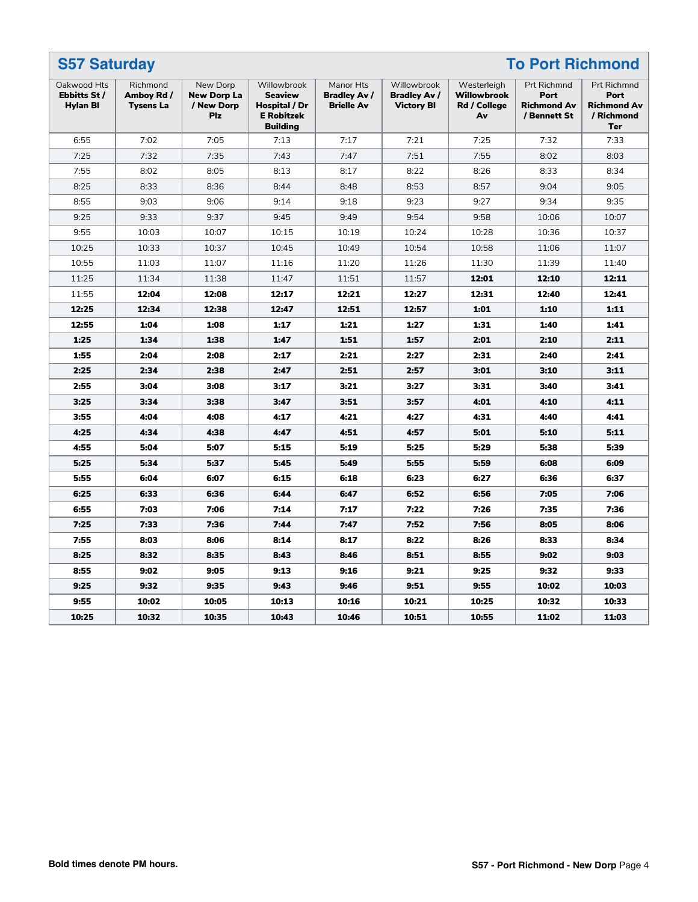| <b>To Port Richmond</b><br><b>S57 Saturday</b> |                                            |                                                            |                                                                                        |                                                       |                                                         |                                                         |                                                                  |                                                                              |
|------------------------------------------------|--------------------------------------------|------------------------------------------------------------|----------------------------------------------------------------------------------------|-------------------------------------------------------|---------------------------------------------------------|---------------------------------------------------------|------------------------------------------------------------------|------------------------------------------------------------------------------|
| Oakwood Hts<br>Ebbitts St /<br><b>Hylan Bl</b> | Richmond<br>Amboy Rd /<br><b>Tysens La</b> | New Dorp<br><b>New Dorp La</b><br>/ New Dorp<br><b>Plz</b> | Willowbrook<br><b>Seaview</b><br>Hospital / Dr<br><b>E</b> Robitzek<br><b>Building</b> | Manor Hts<br><b>Bradley Av /</b><br><b>Brielle Av</b> | Willowbrook<br><b>Bradley Av /</b><br><b>Victory BI</b> | Westerleigh<br><b>Willowbrook</b><br>Rd / College<br>Av | <b>Prt Richmnd</b><br>Port<br><b>Richmond Av</b><br>/ Bennett St | <b>Prt Richmnd</b><br>Port<br><b>Richmond Av</b><br>/ Richmond<br><b>Ter</b> |
| 6:55                                           | 7:02                                       | 7:05                                                       | 7:13                                                                                   | 7:17                                                  | 7:21                                                    | 7:25                                                    | 7:32                                                             | 7:33                                                                         |
| 7:25                                           | 7:32                                       | 7:35                                                       | 7:43                                                                                   | 7:47                                                  | 7:51                                                    | 7:55                                                    | 8:02                                                             | 8:03                                                                         |
| 7:55                                           | 8:02                                       | 8:05                                                       | 8:13                                                                                   | 8:17                                                  | 8:22                                                    | 8:26                                                    | 8:33                                                             | 8:34                                                                         |
| 8:25                                           | 8:33                                       | 8:36                                                       | 8:44                                                                                   | 8:48                                                  | 8:53                                                    | 8:57                                                    | 9:04                                                             | 9:05                                                                         |
| 8:55                                           | 9:03                                       | 9:06                                                       | 9:14                                                                                   | 9:18                                                  | 9:23                                                    | 9:27                                                    | 9:34                                                             | 9:35                                                                         |
| 9:25                                           | 9:33                                       | 9:37                                                       | 9:45                                                                                   | 9:49                                                  | 9:54                                                    | 9:58                                                    | 10:06                                                            | 10:07                                                                        |
| 9:55                                           | 10:03                                      | 10:07                                                      | 10:15                                                                                  | 10:19                                                 | 10:24                                                   | 10:28                                                   | 10:36                                                            | 10:37                                                                        |
| 10:25                                          | 10:33                                      | 10:37                                                      | 10:45                                                                                  | 10:49                                                 | 10:54                                                   | 10:58                                                   | 11:06                                                            | 11:07                                                                        |
| 10:55                                          | 11:03                                      | 11:07                                                      | 11:16                                                                                  | 11:20                                                 | 11:26                                                   | 11:30                                                   | 11:39                                                            | 11:40                                                                        |
| 11:25                                          | 11:34                                      | 11:38                                                      | 11:47                                                                                  | 11:51                                                 | 11:57                                                   | 12:01                                                   | 12:10                                                            | 12:11                                                                        |
| 11:55                                          | 12:04                                      | 12:08                                                      | 12:17                                                                                  | 12:21                                                 | 12:27                                                   | 12:31                                                   | 12:40                                                            | 12:41                                                                        |
| 12:25                                          | 12:34                                      | 12:38                                                      | 12:47                                                                                  | 12:51                                                 | 12:57                                                   | 1:01                                                    | 1:10                                                             | 1:11                                                                         |
| 12:55                                          | 1:04                                       | 1:08                                                       | 1:17                                                                                   | 1:21                                                  | 1:27                                                    | 1:31                                                    | 1:40                                                             | 1:41                                                                         |
| 1:25                                           | 1:34                                       | 1:38                                                       | 1:47                                                                                   | 1:51                                                  | 1:57                                                    | 2:01                                                    | 2:10                                                             | 2:11                                                                         |
| 1:55                                           | 2:04                                       | 2:08                                                       | 2:17                                                                                   | 2:21                                                  | 2:27                                                    | 2:31                                                    | 2:40                                                             | 2:41                                                                         |
| 2:25                                           | 2:34                                       | 2:38                                                       | 2:47                                                                                   | 2:51                                                  | 2:57                                                    | 3:01                                                    | 3:10                                                             | 3:11                                                                         |
| 2:55                                           | 3:04                                       | 3:08                                                       | 3:17                                                                                   | 3:21                                                  | 3:27                                                    | 3:31                                                    | 3:40                                                             | 3:41                                                                         |
| 3:25                                           | 3:34                                       | 3:38                                                       | 3:47                                                                                   | 3:51                                                  | 3:57                                                    | 4:01                                                    | 4:10                                                             | 4:11                                                                         |
| 3:55                                           | 4:04                                       | 4:08                                                       | 4:17                                                                                   | 4:21                                                  | 4:27                                                    | 4:31                                                    | 4:40                                                             | 4:41                                                                         |
| 4:25                                           | 4:34                                       | 4:38                                                       | 4:47                                                                                   | 4:51                                                  | 4:57                                                    | 5:01                                                    | 5:10                                                             | 5:11                                                                         |
| 4:55                                           | 5:04                                       | 5:07                                                       | 5:15                                                                                   | 5:19                                                  | 5:25                                                    | 5:29                                                    | 5:38                                                             | 5:39                                                                         |
| 5:25                                           | 5:34                                       | 5:37                                                       | 5:45                                                                                   | 5:49                                                  | 5:55                                                    | 5:59                                                    | 6:08                                                             | 6:09                                                                         |
| 5:55                                           | 6:04                                       | 6:07                                                       | 6:15                                                                                   | 6:18                                                  | 6:23                                                    | 6:27                                                    | 6:36                                                             | 6:37                                                                         |
| 6:25                                           | 6:33                                       | 6:36                                                       | 6:44                                                                                   | 6:47                                                  | 6:52                                                    | 6:56                                                    | 7:05                                                             | 7:06                                                                         |
| 6:55                                           | 7:03                                       | 7:06                                                       | 7:14                                                                                   | 7:17                                                  | 7:22                                                    | 7:26                                                    | 7:35                                                             | 7:36                                                                         |
| 7:25                                           | 7:33                                       | 7:36                                                       | 7:44                                                                                   | 7:47                                                  | 7:52                                                    | 7:56                                                    | 8:05                                                             | 8:06                                                                         |
| 7:55                                           | 8:03                                       | 8:06                                                       | 8:14                                                                                   | 8:17                                                  | 8:22                                                    | 8:26                                                    | 8:33                                                             | 8:34                                                                         |
| 8:25                                           | 8:32                                       | 8:35                                                       | 8:43                                                                                   | 8:46                                                  | 8:51                                                    | 8:55                                                    | 9:02                                                             | 9:03                                                                         |
| 8:55                                           | 9:02                                       | 9:05                                                       | 9:13                                                                                   | 9:16                                                  | 9:21                                                    | 9:25                                                    | 9:32                                                             | 9:33                                                                         |
| 9:25                                           | 9:32                                       | 9:35                                                       | 9:43                                                                                   | 9:46                                                  | 9:51                                                    | 9:55                                                    | 10:02                                                            | 10:03                                                                        |
| 9:55                                           | 10:02                                      | 10:05                                                      | 10:13                                                                                  | 10:16                                                 | 10:21                                                   | 10:25                                                   | 10:32                                                            | 10:33                                                                        |
| 10:25                                          | 10:32                                      | 10:35                                                      | 10:43                                                                                  | 10:46                                                 | 10:51                                                   | 10:55                                                   | 11:02                                                            | 11:03                                                                        |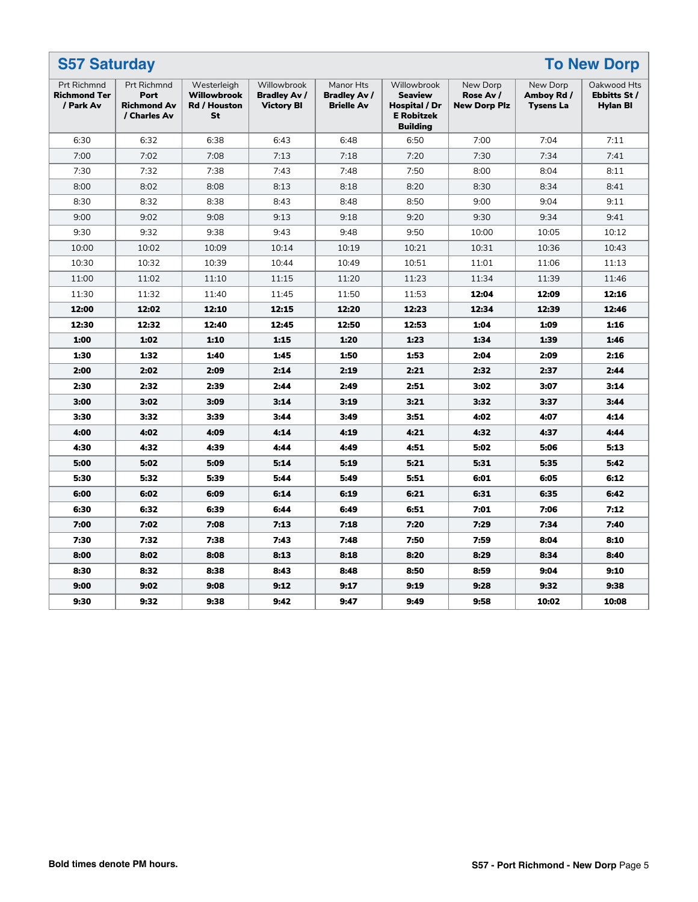|                                                        | <b>To New Dorp</b><br><b>S57 Saturday</b>                        |                                                         |                                                         |                                                |                                                                                        |                                              |                                            |                                                |
|--------------------------------------------------------|------------------------------------------------------------------|---------------------------------------------------------|---------------------------------------------------------|------------------------------------------------|----------------------------------------------------------------------------------------|----------------------------------------------|--------------------------------------------|------------------------------------------------|
| <b>Prt Richmnd</b><br><b>Richmond Ter</b><br>/ Park Av | <b>Prt Richmnd</b><br>Port<br><b>Richmond Av</b><br>/ Charles Av | Westerleigh<br><b>Willowbrook</b><br>Rd / Houston<br>St | Willowbrook<br><b>Bradley Av /</b><br><b>Victory BI</b> | Manor Hts<br>Bradley Av /<br><b>Brielle Av</b> | Willowbrook<br><b>Seaview</b><br>Hospital / Dr<br><b>E</b> Robitzek<br><b>Building</b> | New Dorp<br>Rose Av /<br><b>New Dorp Plz</b> | New Dorp<br>Amboy Rd /<br><b>Tysens La</b> | Oakwood Hts<br>Ebbitts St /<br><b>Hylan BI</b> |
| 6:30                                                   | 6:32                                                             | 6:38                                                    | 6:43                                                    | 6:48                                           | 6:50                                                                                   | 7:00                                         | 7:04                                       | 7:11                                           |
| 7:00                                                   | 7:02                                                             | 7:08                                                    | 7:13                                                    | 7:18                                           | 7:20                                                                                   | 7:30                                         | 7:34                                       | 7:41                                           |
| 7:30                                                   | 7:32                                                             | 7:38                                                    | 7:43                                                    | 7:48                                           | 7:50                                                                                   | 8:00                                         | 8:04                                       | 8:11                                           |
| 8:00                                                   | 8:02                                                             | 8:08                                                    | 8:13                                                    | 8:18                                           | 8:20                                                                                   | 8:30                                         | 8:34                                       | 8:41                                           |
| 8:30                                                   | 8:32                                                             | 8:38                                                    | 8:43                                                    | 8:48                                           | 8:50                                                                                   | 9:00                                         | 9:04                                       | 9:11                                           |
| 9:00                                                   | 9:02                                                             | 9:08                                                    | 9:13                                                    | 9:18                                           | 9:20                                                                                   | 9:30                                         | 9:34                                       | 9:41                                           |
| 9:30                                                   | 9:32                                                             | 9:38                                                    | 9:43                                                    | 9:48                                           | 9:50                                                                                   | 10:00                                        | 10:05                                      | 10:12                                          |
| 10:00                                                  | 10:02                                                            | 10:09                                                   | 10:14                                                   | 10:19                                          | 10:21                                                                                  | 10:31                                        | 10:36                                      | 10:43                                          |
| 10:30                                                  | 10:32                                                            | 10:39                                                   | 10:44                                                   | 10:49                                          | 10:51                                                                                  | 11:01                                        | 11:06                                      | 11:13                                          |
| 11:00                                                  | 11:02                                                            | 11:10                                                   | 11:15                                                   | 11:20                                          | 11:23                                                                                  | 11:34                                        | 11:39                                      | 11:46                                          |
| 11:30                                                  | 11:32                                                            | 11:40                                                   | 11:45                                                   | 11:50                                          | 11:53                                                                                  | 12:04                                        | 12:09                                      | 12:16                                          |
| 12:00                                                  | 12:02                                                            | 12:10                                                   | 12:15                                                   | 12:20                                          | 12:23                                                                                  | 12:34                                        | 12:39                                      | 12:46                                          |
| 12:30                                                  | 12:32                                                            | 12:40                                                   | 12:45                                                   | 12:50                                          | 12:53                                                                                  | 1:04                                         | 1:09                                       | 1:16                                           |
| 1:00                                                   | 1:02                                                             | 1:10                                                    | 1:15                                                    | 1:20                                           | 1:23                                                                                   | 1:34                                         | 1:39                                       | 1:46                                           |
| 1:30                                                   | 1:32                                                             | 1:40                                                    | 1:45                                                    | 1:50                                           | 1:53                                                                                   | 2:04                                         | 2:09                                       | 2:16                                           |
| 2:00                                                   | 2:02                                                             | 2:09                                                    | 2:14                                                    | 2:19                                           | 2:21                                                                                   | 2:32                                         | 2:37                                       | 2:44                                           |
| 2:30                                                   | 2:32                                                             | 2:39                                                    | 2:44                                                    | 2:49                                           | 2:51                                                                                   | 3:02                                         | 3:07                                       | 3:14                                           |
| 3:00                                                   | 3:02                                                             | 3:09                                                    | 3:14                                                    | 3:19                                           | 3:21                                                                                   | 3:32                                         | 3:37                                       | 3:44                                           |
| 3:30                                                   | 3:32                                                             | 3:39                                                    | 3:44                                                    | 3:49                                           | 3:51                                                                                   | 4:02                                         | 4:07                                       | 4:14                                           |
| 4:00                                                   | 4:02                                                             | 4:09                                                    | 4:14                                                    | 4:19                                           | 4:21                                                                                   | 4:32                                         | 4:37                                       | 4:44                                           |
| 4:30                                                   | 4:32                                                             | 4:39                                                    | 4:44                                                    | 4:49                                           | 4:51                                                                                   | 5:02                                         | 5:06                                       | 5:13                                           |
| 5:00                                                   | 5:02                                                             | 5:09                                                    | 5:14                                                    | 5:19                                           | 5:21                                                                                   | 5:31                                         | 5:35                                       | 5:42                                           |
| 5:30                                                   | 5:32                                                             | 5:39                                                    | 5:44                                                    | 5:49                                           | 5:51                                                                                   | 6:01                                         | 6:05                                       | 6:12                                           |
| 6:00                                                   | 6:02                                                             | 6:09                                                    | 6:14                                                    | 6:19                                           | 6:21                                                                                   | 6:31                                         | 6:35                                       | 6:42                                           |
| 6:30                                                   | 6:32                                                             | 6:39                                                    | 6:44                                                    | 6:49                                           | 6:51                                                                                   | 7:01                                         | 7:06                                       | 7:12                                           |
| 7:00                                                   | 7:02                                                             | 7:08                                                    | 7:13                                                    | 7:18                                           | 7:20                                                                                   | 7:29                                         | 7:34                                       | 7:40                                           |
| 7:30                                                   | 7:32                                                             | 7:38                                                    | 7:43                                                    | 7:48                                           | 7:50                                                                                   | 7:59                                         | 8:04                                       | 8:10                                           |
| 8:00                                                   | 8:02                                                             | 8:08                                                    | 8:13                                                    | 8:18                                           | 8:20                                                                                   | 8:29                                         | 8:34                                       | 8:40                                           |
| 8:30                                                   | 8:32                                                             | 8:38                                                    | 8:43                                                    | 8:48                                           | 8:50                                                                                   | 8:59                                         | 9:04                                       | 9:10                                           |
| 9:00                                                   | 9:02                                                             | 9:08                                                    | 9:12                                                    | 9:17                                           | 9:19                                                                                   | 9:28                                         | 9:32                                       | 9:38                                           |
| 9:30                                                   | 9:32                                                             | 9:38                                                    | 9:42                                                    | 9:47                                           | 9:49                                                                                   | 9:58                                         | 10:02                                      | 10:08                                          |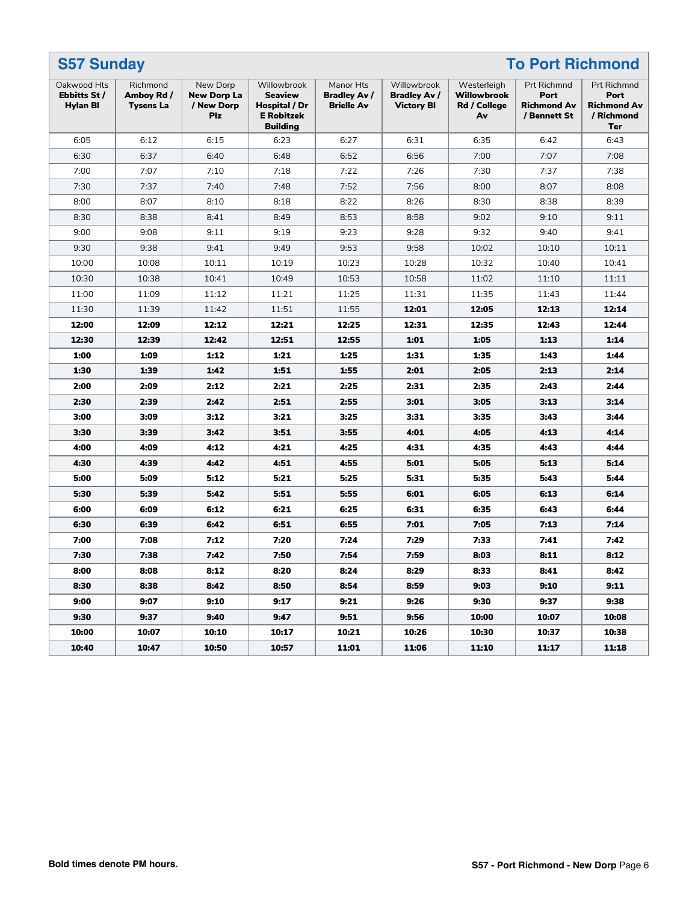| <b>S57 Sunday</b><br><b>To Port Richmond</b> |                                     |                                                            |                                                                                        |                                                       |                                                         |                                                  |                                                           |                                                                       |
|----------------------------------------------|-------------------------------------|------------------------------------------------------------|----------------------------------------------------------------------------------------|-------------------------------------------------------|---------------------------------------------------------|--------------------------------------------------|-----------------------------------------------------------|-----------------------------------------------------------------------|
| Oakwood Hts<br>Ebbitts St /<br>Hylan BI      | Richmond<br>Amboy Rd /<br>Tysens La | New Dorp<br><b>New Dorp La</b><br>/ New Dorp<br><b>Plz</b> | Willowbrook<br><b>Seaview</b><br>Hospital / Dr<br><b>E</b> Robitzek<br><b>Building</b> | Manor Hts<br><b>Bradley Av /</b><br><b>Brielle Av</b> | Willowbrook<br><b>Bradley Av /</b><br><b>Victory BI</b> | Westerleigh<br>Willowbrook<br>Rd / College<br>Av | Prt Richmnd<br>Port<br><b>Richmond Av</b><br>/ Bennett St | Prt Richmnd<br>Port<br><b>Richmond Av</b><br>/ Richmond<br><b>Ter</b> |
| 6:05                                         | 6:12                                | 6:15                                                       | 6:23                                                                                   | 6:27                                                  | 6:31                                                    | 6:35                                             | 6:42                                                      | 6:43                                                                  |
| 6:30                                         | 6:37                                | 6:40                                                       | 6:48                                                                                   | 6:52                                                  | 6:56                                                    | 7:00                                             | 7:07                                                      | 7:08                                                                  |
| 7:00                                         | 7:07                                | 7:10                                                       | 7:18                                                                                   | 7:22                                                  | 7:26                                                    | 7:30                                             | 7:37                                                      | 7:38                                                                  |
| 7:30                                         | 7:37                                | 7:40                                                       | 7:48                                                                                   | 7:52                                                  | 7:56                                                    | 8:00                                             | 8:07                                                      | 8:08                                                                  |
| 8:00                                         | 8:07                                | 8:10                                                       | 8:18                                                                                   | 8:22                                                  | 8:26                                                    | 8:30                                             | 8:38                                                      | 8:39                                                                  |
| 8:30                                         | 8:38                                | 8:41                                                       | 8:49                                                                                   | 8:53                                                  | 8:58                                                    | 9:02                                             | 9:10                                                      | 9:11                                                                  |
| 9:00                                         | 9:08                                | 9:11                                                       | 9:19                                                                                   | 9:23                                                  | 9:28                                                    | 9:32                                             | 9:40                                                      | 9:41                                                                  |
| 9:30                                         | 9:38                                | 9:41                                                       | 9:49                                                                                   | 9:53                                                  | 9:58                                                    | 10:02                                            | 10:10                                                     | 10:11                                                                 |
| 10:00                                        | 10:08                               | 10:11                                                      | 10:19                                                                                  | 10:23                                                 | 10:28                                                   | 10:32                                            | 10:40                                                     | 10:41                                                                 |
| 10:30                                        | 10:38                               | 10:41                                                      | 10:49                                                                                  | 10:53                                                 | 10:58                                                   | 11:02                                            | 11:10                                                     | 11:11                                                                 |
| 11:00                                        | 11:09                               | 11:12                                                      | 11:21                                                                                  | 11:25                                                 | 11:31                                                   | 11:35                                            | 11:43                                                     | 11:44                                                                 |
| 11:30                                        | 11:39                               | 11:42                                                      | 11:51                                                                                  | 11:55                                                 | 12:01                                                   | 12:05                                            | 12:13                                                     | 12:14                                                                 |
| 12:00                                        | 12:09                               | 12:12                                                      | 12:21                                                                                  | 12:25                                                 | 12:31                                                   | 12:35                                            | 12:43                                                     | 12:44                                                                 |
| 12:30                                        | 12:39                               | 12:42                                                      | 12:51                                                                                  | 12:55                                                 | 1:01                                                    | 1:05                                             | 1:13                                                      | 1:14                                                                  |
| 1:00                                         | 1:09                                | 1:12                                                       | 1:21                                                                                   | 1:25                                                  | 1:31                                                    | 1:35                                             | 1:43                                                      | 1:44                                                                  |
| 1:30                                         | 1:39                                | 1:42                                                       | 1:51                                                                                   | 1:55                                                  | 2:01                                                    | 2:05                                             | 2:13                                                      | 2:14                                                                  |
| 2:00                                         | 2:09                                | 2:12                                                       | 2:21                                                                                   | 2:25                                                  | 2:31                                                    | 2:35                                             | 2:43                                                      | 2:44                                                                  |
| 2:30                                         | 2:39                                | 2:42                                                       | 2:51                                                                                   | 2:55                                                  | 3:01                                                    | 3:05                                             | 3:13                                                      | 3:14                                                                  |
| 3:00                                         | 3:09                                | 3:12                                                       | 3:21                                                                                   | 3:25                                                  | 3:31                                                    | 3:35                                             | 3:43                                                      | 3:44                                                                  |
| 3:30                                         | 3:39                                | 3:42                                                       | 3:51                                                                                   | 3:55                                                  | 4:01                                                    | 4:05                                             | 4:13                                                      | 4:14                                                                  |
| 4:00                                         | 4:09                                | 4:12                                                       | 4:21                                                                                   | 4:25                                                  | 4:31                                                    | 4:35                                             | 4:43                                                      | 4:44                                                                  |
| 4:30                                         | 4:39                                | 4:42                                                       | 4:51                                                                                   | 4:55                                                  | 5:01                                                    | 5:05                                             | 5:13                                                      | 5:14                                                                  |
| 5:00                                         | 5:09                                | 5:12                                                       | 5:21                                                                                   | 5:25                                                  | 5:31                                                    | 5:35                                             | 5:43                                                      | 5:44                                                                  |
| 5:30                                         | 5:39                                | 5:42                                                       | 5:51                                                                                   | 5:55                                                  | 6:01                                                    | 6:05                                             | 6:13                                                      | 6:14                                                                  |
| 6:00                                         | 6:09                                | 6:12                                                       | 6:21                                                                                   | 6:25                                                  | 6:31                                                    | 6:35                                             | 6:43                                                      | 6:44                                                                  |
| 6:30                                         | 6:39                                | 6:42                                                       | 6:51                                                                                   | 6:55                                                  | 7:01                                                    | 7:05                                             | 7:13                                                      | 7:14                                                                  |
| 7:00                                         | 7:08                                | 7:12                                                       | 7:20                                                                                   | 7:24                                                  | 7:29                                                    | 7:33                                             | 7:41                                                      | 7:42                                                                  |
| 7:30                                         | 7:38                                | 7:42                                                       | 7:50                                                                                   | 7:54                                                  | 7:59                                                    | 8:03                                             | 8:11                                                      | 8:12                                                                  |
| 8:00                                         | 8:08                                | 8:12                                                       | 8:20                                                                                   | 8:24                                                  | 8:29                                                    | 8:33                                             | 8:41                                                      | 8:42                                                                  |
| 8:30                                         | 8:38                                | 8:42                                                       | 8:50                                                                                   | 8:54                                                  | 8:59                                                    | 9:03                                             | 9:10                                                      | 9:11                                                                  |
| 9:00                                         | 9:07                                | 9:10                                                       | 9:17                                                                                   | 9:21                                                  | 9:26                                                    | 9:30                                             | 9:37                                                      | 9:38                                                                  |
| 9:30                                         | 9:37                                | 9:40                                                       | 9:47                                                                                   | 9:51                                                  | 9:56                                                    | 10:00                                            | 10:07                                                     | 10:08                                                                 |
| 10:00                                        | 10:07                               | 10:10                                                      | 10:17                                                                                  | 10:21                                                 | 10:26                                                   | 10:30                                            | 10:37                                                     | 10:38                                                                 |
| 10:40                                        | 10:47                               | 10:50                                                      | 10:57                                                                                  | 11:01                                                 | 11:06                                                   | 11:10                                            | 11:17                                                     | 11:18                                                                 |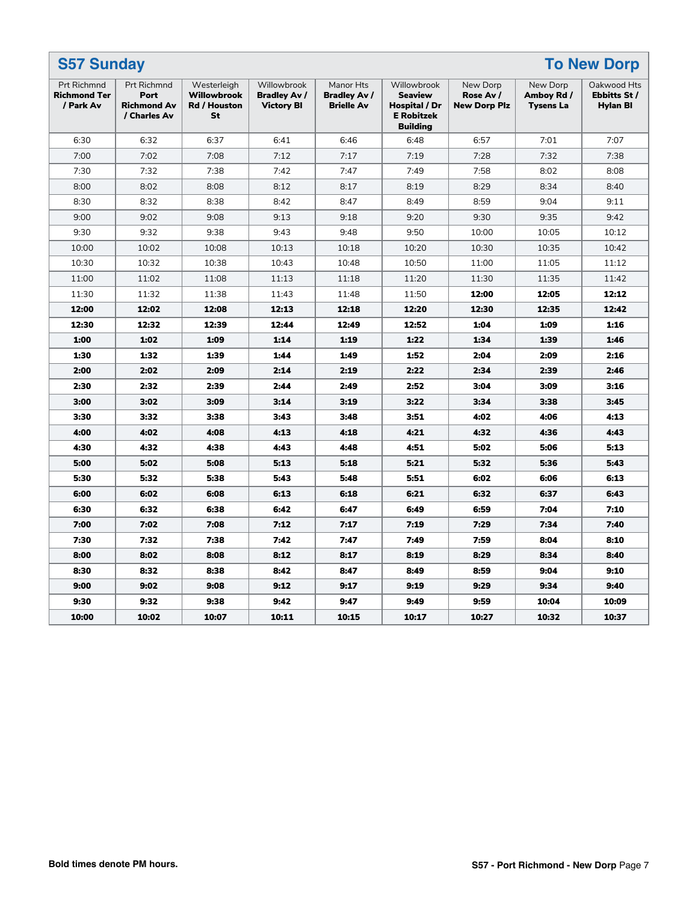| <b>S57 Sunday</b><br><b>To New Dorp</b>                |                                                                  |                                                  |                                                         |                                                       |                                                                                        |                                              |                                            |                                                |
|--------------------------------------------------------|------------------------------------------------------------------|--------------------------------------------------|---------------------------------------------------------|-------------------------------------------------------|----------------------------------------------------------------------------------------|----------------------------------------------|--------------------------------------------|------------------------------------------------|
| <b>Prt Richmnd</b><br><b>Richmond Ter</b><br>/ Park Av | <b>Prt Richmnd</b><br>Port<br><b>Richmond Av</b><br>/ Charles Av | Westerleigh<br>Willowbrook<br>Rd / Houston<br>St | Willowbrook<br><b>Bradley Av /</b><br><b>Victory BI</b> | Manor Hts<br><b>Bradley Av /</b><br><b>Brielle Av</b> | Willowbrook<br><b>Seaview</b><br>Hospital / Dr<br><b>E</b> Robitzek<br><b>Building</b> | New Dorp<br>Rose Av /<br><b>New Dorp Plz</b> | New Dorp<br>Amboy Rd /<br><b>Tysens La</b> | Oakwood Hts<br>Ebbitts St /<br><b>Hylan BI</b> |
| 6:30                                                   | 6:32                                                             | 6:37                                             | 6:41                                                    | 6:46                                                  | 6:48                                                                                   | 6:57                                         | 7:01                                       | 7:07                                           |
| 7:00                                                   | 7:02                                                             | 7:08                                             | 7:12                                                    | 7:17                                                  | 7:19                                                                                   | 7:28                                         | 7:32                                       | 7:38                                           |
| 7:30                                                   | 7:32                                                             | 7:38                                             | 7:42                                                    | 7:47                                                  | 7:49                                                                                   | 7:58                                         | 8:02                                       | 8:08                                           |
| 8:00                                                   | 8:02                                                             | 8:08                                             | 8:12                                                    | 8:17                                                  | 8:19                                                                                   | 8:29                                         | 8:34                                       | 8:40                                           |
| 8:30                                                   | 8:32                                                             | 8:38                                             | 8:42                                                    | 8:47                                                  | 8:49                                                                                   | 8:59                                         | 9:04                                       | 9:11                                           |
| 9:00                                                   | 9:02                                                             | 9:08                                             | 9:13                                                    | 9:18                                                  | 9:20                                                                                   | 9:30                                         | 9:35                                       | 9:42                                           |
| 9:30                                                   | 9:32                                                             | 9:38                                             | 9:43                                                    | 9:48                                                  | 9:50                                                                                   | 10:00                                        | 10:05                                      | 10:12                                          |
| 10:00                                                  | 10:02                                                            | 10:08                                            | 10:13                                                   | 10:18                                                 | 10:20                                                                                  | 10:30                                        | 10:35                                      | 10:42                                          |
| 10:30                                                  | 10:32                                                            | 10:38                                            | 10:43                                                   | 10:48                                                 | 10:50                                                                                  | 11:00                                        | 11:05                                      | 11:12                                          |
| 11:00                                                  | 11:02                                                            | 11:08                                            | 11:13                                                   | 11:18                                                 | 11:20                                                                                  | 11:30                                        | 11:35                                      | 11:42                                          |
| 11:30                                                  | 11:32                                                            | 11:38                                            | 11:43                                                   | 11:48                                                 | 11:50                                                                                  | 12:00                                        | 12:05                                      | 12:12                                          |
| 12:00                                                  | 12:02                                                            | 12:08                                            | 12:13                                                   | 12:18                                                 | 12:20                                                                                  | 12:30                                        | 12:35                                      | 12:42                                          |
| 12:30                                                  | 12:32                                                            | 12:39                                            | 12:44                                                   | 12:49                                                 | 12:52                                                                                  | 1:04                                         | 1:09                                       | 1:16                                           |
| 1:00                                                   | 1:02                                                             | 1:09                                             | 1:14                                                    | 1:19                                                  | 1:22                                                                                   | 1:34                                         | 1:39                                       | 1:46                                           |
| 1:30                                                   | 1:32                                                             | 1:39                                             | 1:44                                                    | 1:49                                                  | 1:52                                                                                   | 2:04                                         | 2:09                                       | 2:16                                           |
| 2:00                                                   | 2:02                                                             | 2:09                                             | 2:14                                                    | 2:19                                                  | 2:22                                                                                   | 2:34                                         | 2:39                                       | 2:46                                           |
| 2:30                                                   | 2:32                                                             | 2:39                                             | 2:44                                                    | 2:49                                                  | 2:52                                                                                   | 3:04                                         | 3:09                                       | 3:16                                           |
| 3:00                                                   | 3:02                                                             | 3:09                                             | 3:14                                                    | 3:19                                                  | 3:22                                                                                   | 3:34                                         | 3:38                                       | 3:45                                           |
| 3:30                                                   | 3:32                                                             | 3:38                                             | 3:43                                                    | 3:48                                                  | 3:51                                                                                   | 4:02                                         | 4:06                                       | 4:13                                           |
| 4:00                                                   | 4:02                                                             | 4:08                                             | 4:13                                                    | 4:18                                                  | 4:21                                                                                   | 4:32                                         | 4:36                                       | 4:43                                           |
| 4:30                                                   | 4:32                                                             | 4:38                                             | 4:43                                                    | 4:48                                                  | 4:51                                                                                   | 5:02                                         | 5:06                                       | 5:13                                           |
| 5:00                                                   | 5:02                                                             | 5:08                                             | 5:13                                                    | 5:18                                                  | 5:21                                                                                   | 5:32                                         | 5:36                                       | 5:43                                           |
| 5:30                                                   | 5:32                                                             | 5:38                                             | 5:43                                                    | 5:48                                                  | 5:51                                                                                   | 6:02                                         | 6:06                                       | 6:13                                           |
| 6:00                                                   | 6:02                                                             | 6:08                                             | 6:13                                                    | 6:18                                                  | 6:21                                                                                   | 6:32                                         | 6:37                                       | 6:43                                           |
| 6:30                                                   | 6:32                                                             | 6:38                                             | 6:42                                                    | 6:47                                                  | 6:49                                                                                   | 6:59                                         | 7:04                                       | 7:10                                           |
| 7:00                                                   | 7:02                                                             | 7:08                                             | 7:12                                                    | 7:17                                                  | 7:19                                                                                   | 7:29                                         | 7:34                                       | 7:40                                           |
| 7:30                                                   | 7:32                                                             | 7:38                                             | 7:42                                                    | 7:47                                                  | 7:49                                                                                   | 7:59                                         | 8:04                                       | 8:10                                           |
| 8:00                                                   | 8:02                                                             | 8:08                                             | 8:12                                                    | 8:17                                                  | 8:19                                                                                   | 8:29                                         | 8:34                                       | 8:40                                           |
| 8:30                                                   | 8:32                                                             | 8:38                                             | 8:42                                                    | 8:47                                                  | 8:49                                                                                   | 8:59                                         | 9:04                                       | 9:10                                           |
| 9:00                                                   | 9:02                                                             | 9:08                                             | 9:12                                                    | 9:17                                                  | 9:19                                                                                   | 9:29                                         | 9:34                                       | 9:40                                           |
| 9:30                                                   | 9:32                                                             | 9:38                                             | 9:42                                                    | 9:47                                                  | 9:49                                                                                   | 9:59                                         | 10:04                                      | 10:09                                          |
| 10:00                                                  | 10:02                                                            | 10:07                                            | 10:11                                                   | 10:15                                                 | 10:17                                                                                  | 10:27                                        | 10:32                                      | 10:37                                          |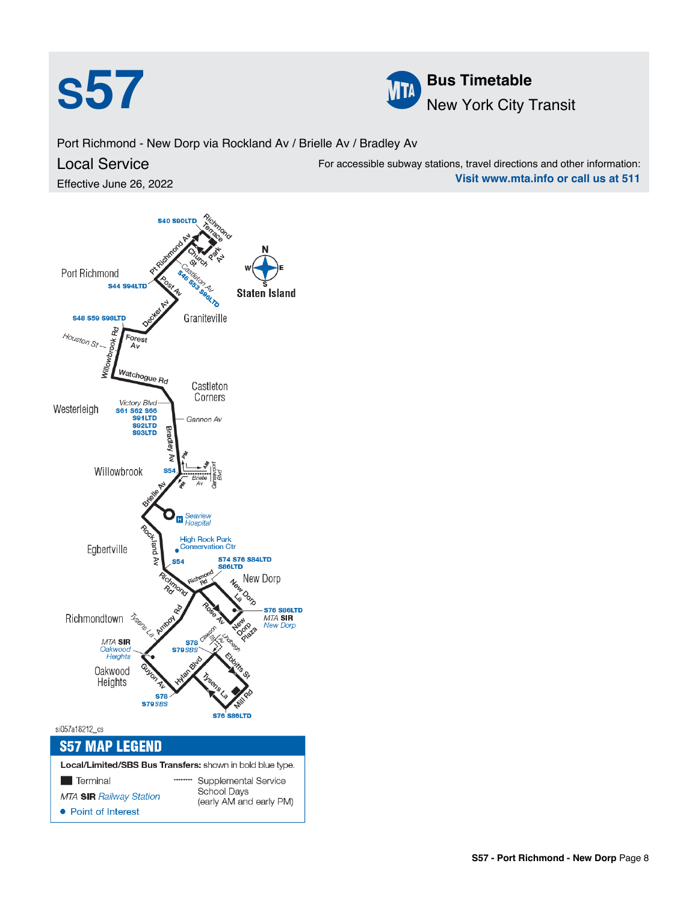



Port Richmond - New Dorp via Rockland Av / Brielle Av / Bradley Av

## Local Service

Effective June 26, 2022

For accessible subway stations, travel directions and other information: **Visit www.mta.info or call us at 511**

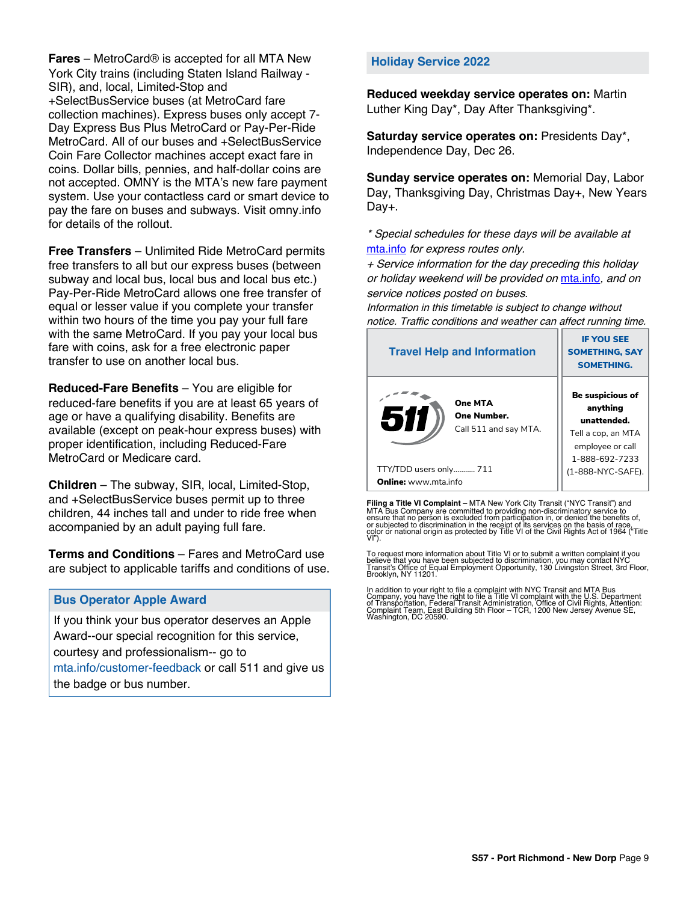**Fares** – MetroCard® is accepted for all MTA New York City trains (including Staten Island Railway - SIR), and, local, Limited-Stop and +SelectBusService buses (at MetroCard fare collection machines). Express buses only accept 7- Day Express Bus Plus MetroCard or Pay-Per-Ride MetroCard. All of our buses and +SelectBusService Coin Fare Collector machines accept exact fare in coins. Dollar bills, pennies, and half-dollar coins are not accepted. OMNY is the MTA's new fare payment system. Use your contactless card or smart device to pay the fare on buses and subways. Visit omny.info for details of the rollout.

**Free Transfers** – Unlimited Ride MetroCard permits free transfers to all but our express buses (between subway and local bus, local bus and local bus etc.) Pay-Per-Ride MetroCard allows one free transfer of equal or lesser value if you complete your transfer within two hours of the time you pay your full fare with the same MetroCard. If you pay your local bus fare with coins, ask for a free electronic paper transfer to use on another local bus.

**Reduced-Fare Benefits** – You are eligible for reduced-fare benefits if you are at least 65 years of age or have a qualifying disability. Benefits are available (except on peak-hour express buses) with proper identification, including Reduced-Fare MetroCard or Medicare card.

**Children** – The subway, SIR, local, Limited-Stop, and +SelectBusService buses permit up to three children, 44 inches tall and under to ride free when accompanied by an adult paying full fare.

**Terms and Conditions** – Fares and MetroCard use are subject to applicable tariffs and conditions of use.

#### **Bus Operator Apple Award**

If you think your bus operator deserves an Apple Award--our special recognition for this service, courtesy and professionalism-- go to mta.info/customer-feedback or call 511 and give us the badge or bus number.

#### **Holiday Service 2022**

**Reduced weekday service operates on:** Martin Luther King Day\*, Day After Thanksgiving\*.

**Saturday service operates on:** Presidents Day\*, Independence Day, Dec 26.

**Sunday service operates on:** Memorial Day, Labor Day, Thanksgiving Day, Christmas Day+, New Years Day+.

\* Special schedules for these days will be available at [mta.info](https://new.mta.info/) for express routes only.

+ Service information for the day preceding this holiday or holiday weekend will be provided on [mta.info](https://new.mta.info/), and on service notices posted on buses.

Information in this timetable is subject to change without notice. Traffic conditions and weather can affect running time.

| <b>Travel Help and Information</b>                     | <b>IF YOU SEE</b><br><b>SOMETHING, SAY</b><br><b>SOMETHING.</b>                                                |  |  |
|--------------------------------------------------------|----------------------------------------------------------------------------------------------------------------|--|--|
| One MTA<br>511<br>One Number.<br>Call 511 and say MTA. | <b>Be suspicious of</b><br>anything<br>unattended.<br>Tell a cop, an MTA<br>employee or call<br>1-888-692-7233 |  |  |
| TTY/TDD users only 711                                 | (1-888-NYC-SAFE).                                                                                              |  |  |
| <b>Online:</b> www.mta.info                            |                                                                                                                |  |  |

**Filing a Title VI Complaint** – MTA New York City Transit ("NYC Transit") and<br>MTA Bus Company are committed to providing non-discriminatory service to<br>ensure that no person is excluded from participation in, or denied the

To request more information about Title VI or to submit a written complaint if you believe that you have been subjected to discrimination, you may contact NYC<br>Transit's Office of Equal Employment Opportunity, 130 Livingston Street, 3rd Floor,<br>Brooklyn, NY 11201.

In addition to your right to file a complaint with NYC Transit and MTA Bus<br>Company, you have the right to file a Title VI complaint with the U.S. Department<br>of Transportation, Federal Transit Administration, Office of Civi